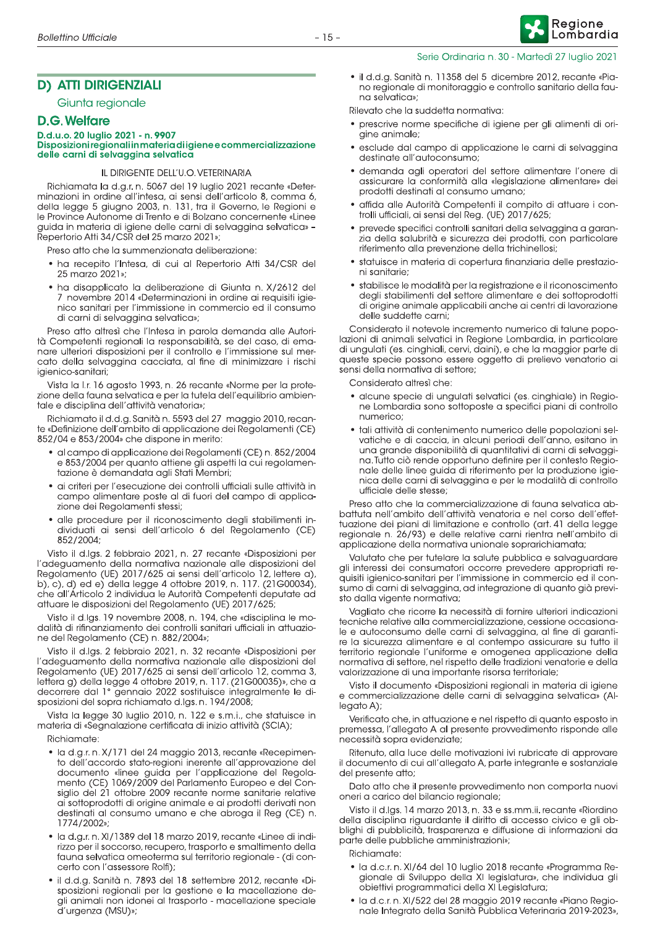# **D) ATTI DIRIGENZIALI**

Giunta regionale

#### **D.G. Welfare**

#### D.d.u.o. 20 luglio 2021 - n. 9907 Disposizioni regionali in materia di igiene e commercializzazione delle carni di selvaggina selvatica

#### IL DIRIGENTE DELL'U.O. VETERINARIA

Richiamata la d.g.r. n. 5067 del 19 luglio 2021 recante «Determinazioni in ordine all'intesa, ai sensi dell'articolo 8, comma 6, della legge 5 giugno 2003, n. 131, tra il Governo, le Regioni e le Province Autonome di Trento e di Bolzano concernente «Linee guida in materia di igiene delle carni di selvaggina selvatica» -Repertorio Atti 34/CSR del 25 marzo 2021»;

Preso atto che la summenzionata deliberazione:

- · ha recepito l'Intesa, di cui al Repertorio Atti 34/CSR del 25 marzo 2021»;
- · ha disapplicato la deliberazione di Giunta n. X/2612 del 7 novembre 2014 «Determinazioni in ordine ai requisiti igienico sanitari per l'immissione in commercio ed il consumo di carni di selvaggina selvatica»;

Preso atto altresì che l'Intesa in parola demanda alle Autorità Competenti regionali la responsabilità, se del caso, di emanare ulteriori disposizioni per il controllo e l'immissione sul mercato della selvaggina cacciata, al fine di minimizzare i rischi iaienico-sanitari:

Vista la I.r. 16 agosto 1993, n. 26 recante «Norme per la protezione della fauna selvatica e per la tutela dell'equilibrio ambientale e disciplina dell'attività venatoria»:

Richiamato il d.d.g. Sanità n. 5593 del 27 maggio 2010, recante «Definizione dell'ambito di applicazione dei Regolamenti (CE) 852/04 e 853/2004» che dispone in merito:

- al campo di applicazione dei Regolamenti (CE) n. 852/2004 e 853/2004 per quanto attiene gli aspetti la cui regolamentazione è demandata agli Stati Membri;
- · ai criteri per l'esecuzione dei controlli ufficiali sulle attività in campo alimentare poste al di fuori del campo di applicazione dei Regolamenti stessi;
- alle procedure per il riconoscimento degli stabilimenti individuati ai sensi dell'articolo 6 del Regolamento (CE) 852/2004;

Visto il d.lgs. 2 febbraio 2021, n. 27 recante «Disposizioni per l'adeguamento della normativa nazionale alle disposizioni del Regolamento (UE) 2017/625 ai sensi dell'articolo 12, lettere a), b), c), d) ed e) della legge 4 ottobre 2019, n. 117. (21G00034), che all'Articolo 2 individua le Autorità Competenti deputate ad attuare le disposizioni del Regolamento (UE) 2017/625,

Visto il d.lgs. 19 novembre 2008, n. 194, che «disciplina le modalità di rifinanziamento dei controlli sanitari ufficiali in attuazione del Regolamento (CE) n. 882/2004»;

Visto il d.lgs. 2 febbraio 2021, n. 32 recante «Disposizioni per l'adequamento della normativa nazionale alle disposizioni del Regolamento (UE) 2017/625 ai sensi dell'articolo 12, comma 3, lettera g) della legge 4 ottobre 2019, n. 117. (21G00035)», che a decorrere dal 1º gennaio 2022 sostituisce integralmente le disposizioni del sopra richiamato d.lgs. n. 194/2008;

Vista la legge 30 luglio 2010, n. 122 e s.m.i., che statuisce in materia di «Segnalazione certificata di inizio attività (SCIA);

Richiamate:

- · la d.g.r. n. X/171 del 24 maggio 2013, recante «Recepimento dell'accordo stato-regioni inerente all'approvazione del documento «linee guida per l'applicazione del Regolamento (CE) 1069/2009 del Parlamento Europeo e del Consiglio del 21 ottobre 2009 recante norme sanitarie relative ai sottoprodotti di origine animale e ai prodotti derivati non destinati al consumo umano e che abroga il Reg (CE) n. 1774/2002»;
- · la d.g.r. n. XI/1389 del 18 marzo 2019, recante «Linee di indirizzo per il soccorso, recupero, trasporto e smaltimento della fauna selvatica omeoterma sul territorio regionale - (di concerto con l'assessore Rolfi);
- · il d.d.g. Sanità n. 7893 del 18 settembre 2012, recante «Disposizioni regionali per la gestione e la macellazione degli animali non idonei al trasporto - macellazione speciale d'urgenza (MSU)»;

· il d.d.g. Sanità n. 11358 del 5 dicembre 2012, recante «Piano regionale di monitoraggio e controllo sanitario della fau-

Serie Ordinaria n. 30 - Martedì 27 Iuglio 2021

Rilevato che la suddetta normativa:

na selvatica»:

- prescrive norme specifiche di igiene per gli alimenti di origine animale;
- · esclude dal campo di applicazione le carni di selvaggina destinate all'autoconsumo;
- · demanda agli operatori del settore alimentare l'onere di assicurare la conformità alla «legislazione alimentare» dei prodotti destinati al consumo umano;
- · affida alle Autorità Competenti il compito di attuare i controlli ufficiali, ai sensi del Reg. (UE) 2017/625;
- · prevede specifici controlli sanitari della selvaggina a garanzia della salubrità e sicurezza dei prodotti, con particolare riferimento alla prevenzione della trichinellosi;
- · statuisce in materia di copertura finanziaria delle prestazioni sanitarie;
- · stabilisce le modalità per la registrazione e il riconoscimento degli stabilimenti del settore alimentare e dei sottoprodotti di origine animale applicabili anche ai centri di lavorazione delle suddette carni;

Considerato il notevole incremento numerico di talune popolazioni di animali selvatici in Regione Lombardia, in particolare di ungulati (es. cinghiali, cervi, daini), e che la maggior parte di queste specie possono essere oggetto di prelievo venatorio ai sensi della normativa di settore;

Considerato altresì che:

- alcune specie di unqulati selvatici (es. cinghiale) in Regione Lombardia sono sottoposte a specifici piani di controllo numerico;
- · tali attività di contenimento numerico delle popolazioni selvatiche e di caccia, in alcuni periodi dell'anno, esitano in una grande disponibilità di quantitativi di carni di selvaggina. Tutto ciò rende opportuno definire per il contesto Regionale delle linee guida di riferimento per la produzione igienica delle carni di selvaggina e per le modalità di controllo ufficiale delle stesse;

Preso atto che la commercializzazione di fauna selvatica abbattuta nell'ambito dell'attività venatoria e nel corso dell'effettuazione dei piani di limitazione e controllo (art. 41 della legge regionale n. 26/93) e delle relative carni rientra nell'ambito di applicazione della normativa unionale soprarichiamata;

Valutato che per tutelare la salute pubblica e salvaguardare gli interessi dei consumatori occorre prevedere appropriati requisiti igienico-sanitari per l'immissione in commercio ed il consumo di carni di selvaggina, ad integrazione di quanto già previsto dalla vigente normativa;

Vagliato che ricorre la necessità di fornire ulteriori indicazioni tecniche relative alla commercializzazione, cessione occasionale e autoconsumo delle carni di selvaggina, al fine di garantire la sicurezza alimentare e al contempo assicurare su tutto il territorio regionale l'uniforme e omogenea applicazione della normativa di settore, nel rispetto delle tradizioni venatorie e della valorizzazione di una importante risorsa territoriale;

Visto il documento «Disposizioni regionali in materia di igiene e commercializzazione delle carni di selvaggina selvatica» (Allegato A);

Verificato che, in attuazione e nel rispetto di quanto esposto in premessa, l'allegato A al presente provvedimento risponde alle necessità sopra evidenziate;

Ritenuto, alla luce delle motivazioni ivi rubricate di approvare il documento di cui all'allegato A, parte integrante e sostanziale del presente atto;

Dato atto che il presente provvedimento non comporta nuovi oneri a carico del bilancio regionale;

Visto il d.lgs. 14 marzo 2013, n. 33 e ss.mm.ii. recante «Riordino della disciplina riguardante il diritto di accesso civico e gli obblighi di pubblicità, trasparenza e diffusione di informazioni da parte delle pubbliche amministrazioni»;

Richiamate:

- · la d.c.r. n. XI/64 del 10 luglio 2018 recante «Programma Regionale di Sviluppo della XI legislatura», che individua gli obiettivi programmatici della XI Legislatura;
- · la d.c.r. n. XI/522 del 28 maggio 2019 recante «Piano Regionale Integrato della Sanità Pubblica Veterinaria 2019-2023»,

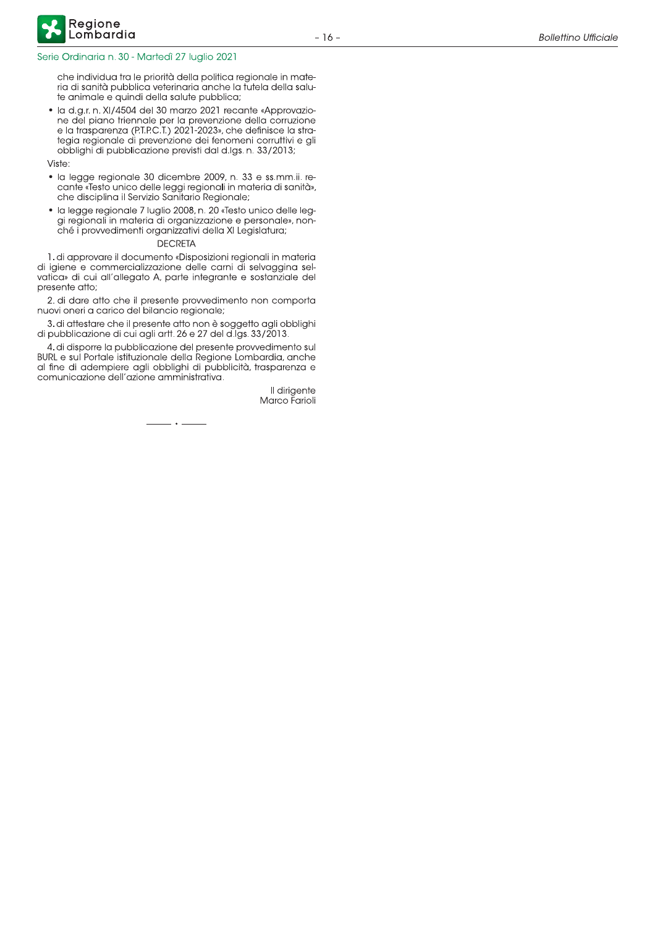che individua tra le priorità della politica regionale in materia di sanità pubblica veterinaria anche la futela della salute animale e quindi della salute pubblica;

· la d.g.r. n. XI/4504 del 30 marzo 2021 recante «Approvaziore del piano friennale per la prevenzione della corruzione<br>e la trasparenza (P.T.P.C.T.) 2021-2023», che definisce la stra-<br>tegia regionale di prevenzione dei fenomeni corruttivi e gli obblighi di pubblicazione previsti dal d.lgs. n. 33/2013;

Viste:

- · la legge regionale 30 dicembre 2009, n. 33 e ss.mm.ii. recante «Testo unico delle leggi regionali in materia di sanità», che disciplina il Servizio Sanitario Regionale;
- · la legge regionale 7 luglio 2008, n. 20 «Testo unico delle leggi regionali in materia di organizzazione e personale», nonché i provvedimenti organizzativi della XI Legislatura;

#### **DECRETA**

1. di approvare il documento «Disposizioni regionali in materia di igiene e commercializzazione delle carni di selvaggina selvatica» di cui all'allegato A, parte integrante e sostanziale del presente atto;

2. di dare atto che il presente provvedimento non comporta nuovi oneri a carico del bilancio regionale;

3. di attestare che il presente atto non è soggetto agli obblighi di pubblicazione di cui agli artt. 26 e 27 del d.lgs. 33/2013.

4. di disporre la pubblicazione del presente provvedimento sul BURL e sul Portale istituzionale della Regione Lombardia, anche al fine di adempiere agli obblighi di pubblicità, trasparenza e comunicazione dell'azione amministrativa.

. . .

Il dirigente Marco Farioli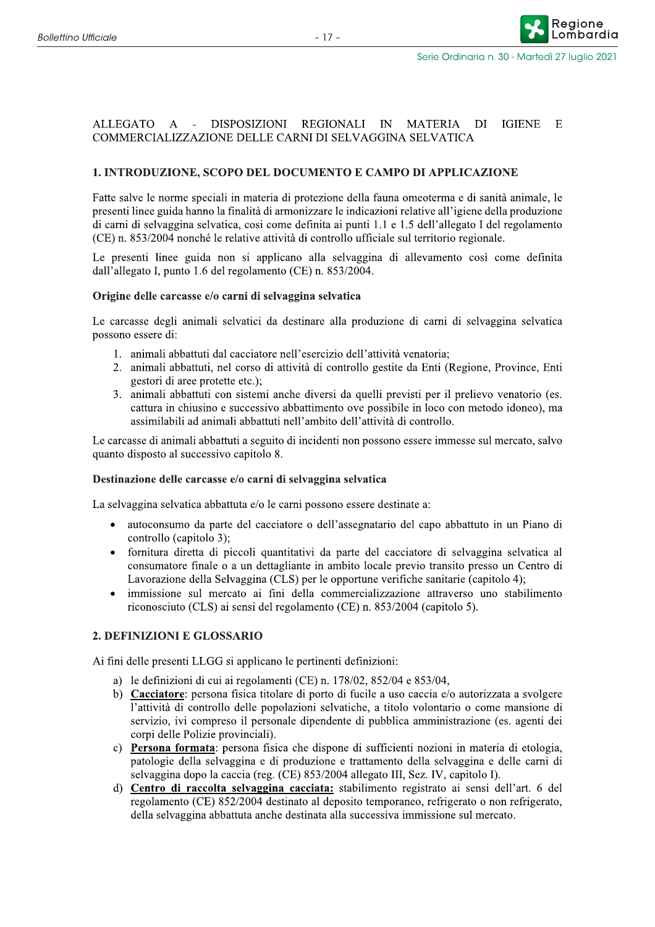Reaione

ombardia

#### ALLEGATO A - DISPOSIZIONI REGIONALI IN MATERIA **IGIENE**  $DI$  $_{\rm E}$ COMMERCIALIZZAZIONE DELLE CARNI DI SELVAGGINA SELVATICA

## 1. INTRODUZIONE, SCOPO DEL DOCUMENTO E CAMPO DI APPLICAZIONE

Fatte salve le norme speciali in materia di protezione della fauna omeoterma e di sanità animale, le presenti linee guida hanno la finalità di armonizzare le indicazioni relative all'igiene della produzione di carni di selvaggina selvatica, così come definita ai punti 1.1 e 1.5 dell'allegato I del regolamento (CE) n. 853/2004 nonché le relative attività di controllo ufficiale sul territorio regionale.

Le presenti linee guida non si applicano alla selvaggina di allevamento così come definita dall'allegato I, punto 1.6 del regolamento (CE) n. 853/2004.

#### Origine delle carcasse e/o carni di selvaggina selvatica

Le carcasse degli animali selvatici da destinare alla produzione di carni di selvaggina selvatica possono essere di:

- 1. animali abbattuti dal cacciatore nell'esercizio dell'attività venatoria;
- 2. animali abbattuti, nel corso di attività di controllo gestite da Enti (Regione, Province, Enti gestori di aree protette etc.);
- 3. animali abbattuti con sistemi anche diversi da quelli previsti per il prelievo venatorio (es. cattura in chiusino e successivo abbattimento ove possibile in loco con metodo idoneo), ma assimilabili ad animali abbattuti nell'ambito dell'attività di controllo.

Le carcasse di animali abbattuti a seguito di incidenti non possono essere immesse sul mercato, salvo quanto disposto al successivo capitolo 8.

#### Destinazione delle carcasse e/o carni di selvaggina selvatica

La selvaggina selvatica abbattuta e/o le carni possono essere destinate a:

- autoconsumo da parte del cacciatore o dell'assegnatario del capo abbattuto in un Piano di  $\bullet$ controllo (capitolo 3);
- fornitura diretta di piccoli quantitativi da parte del cacciatore di selvaggina selvatica al consumatore finale o a un dettagliante in ambito locale previo transito presso un Centro di Lavorazione della Selvaggina (CLS) per le opportune verifiche sanitarie (capitolo 4);
- immissione sul mercato ai fini della commercializzazione attraverso uno stabilimento riconosciuto (CLS) ai sensi del regolamento (CE) n. 853/2004 (capitolo 5).

#### 2. DEFINIZIONI E GLOSSARIO

Ai fini delle presenti LLGG si applicano le pertinenti definizioni:

- a) le definizioni di cui ai regolamenti (CE) n. 178/02, 852/04 e 853/04,
- b) Cacciatore: persona física titolare di porto di fucile a uso caccia e/o autorizzata a svolgere l'attività di controllo delle popolazioni selvatiche, a titolo volontario o come mansione di servizio, ivi compreso il personale dipendente di pubblica amministrazione (es. agenti dei corpi delle Polizie provinciali).
- c) Persona formata: persona física che dispone di sufficienti nozioni in materia di etologia, patologie della selvaggina e di produzione e trattamento della selvaggina e delle carni di selvaggina dopo la caccia (reg. (CE) 853/2004 allegato III, Sez. IV, capitolo I).
- d) Centro di raccolta selvaggina cacciata: stabilimento registrato ai sensi dell'art. 6 del regolamento (CE) 852/2004 destinato al deposito temporaneo, refrigerato o non refrigerato, della selvaggina abbattuta anche destinata alla successiva immissione sul mercato.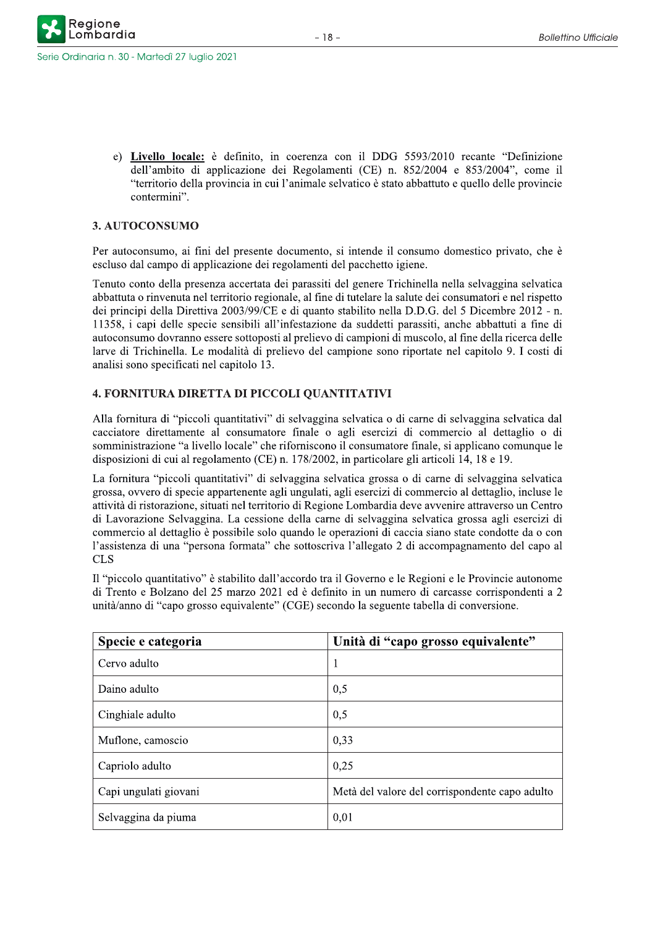serie Ordinaria n. 30 - Marte

e) Livello locale: è definito, in coerenza con il DDG 5593/2010 recante "Definizione dell'ambito di applicazione dei Regolamenti (CE) n.  $852/2004$  e  $853/2004$ ", come il "territorio della provincia in cui l'animale selvatico è stato abbattuto e quello delle provincie contermini".

### 3. AUTOCONSUMO

Per autoconsumo, ai fini del presente documento, si intende il consumo domestico privato, che è escluso dal campo di applicazione dei regolamenti del pacchetto igiene.

Tenuto conto della presenza accertata dei parassiti del genere Trichinella nella selvaggina selvatica abbattuta o rinvenuta nel territorio regionale, al fine di tutelare la salute dei consumatori e nel rispetto dei principi della Direttiva 2003/99/CE e di quanto stabilito nella D.D.G. del 5 Dicembre 2012 - n. 11358, i capi delle specie sensibili all'infestazione da suddetti parassiti, anche abbattuti a fine di autoconsumo dovranno essere sottoposti al prelievo di campioni di muscolo, al fine della ricerca delle larve di Trichinella. Le modalità di prelievo del campione sono riportate nel capitolo 9. I costi di analisi sono specificati nel capitolo 13.

### 4. FORNITURA DIRETTA DI PICCOLI QUANTITATIVI

Alla fornitura di "piccoli quantitativi" di selvaggina selvatica o di carne di selvaggina selvatica dal cacciatore direttamente al consumatore finale o agli esercizi di commercio al dettaglio o di somministrazione "a livello locale" che riforniscono il consumatore finale, si applicano comunque le disposizioni di cui al regolamento (CE) n. 178/2002, in particolare gli articoli 14, 18 e 19.

La fornitura "piccoli quantitativi" di selvaggina selvatica grossa o di carne di selvaggina selvatica grossa, ovvero di specie appartenente agli ungulati, agli esercizi di commercio al dettaglio, incluse le attività di ristorazione, situati nel territorio di Regione Lombardia deve avvenire attraverso un Centro di Lavorazione Selvaggina. La cessione della carne di selvaggina selvatica grossa agli esercizi di commercio al dettaglio è possibile solo quando le operazioni di caccia siano state condotte da o con l'assistenza di una "persona formata" che sottoscriva l'allegato 2 di accompagnamento del capo al **CLS** 

Il "piccolo quantitativo" è stabilito dall'accordo tra il Governo e le Regioni e le Provincie autonome di Trento e Bolzano del 25 marzo 2021 ed è definito in un numero di carcasse corrispondenti a 2 unità/anno di "capo grosso equivalente" (CGE) secondo la seguente tabella di conversione.

| Specie e categoria    | Unità di "capo grosso equivalente"             |
|-----------------------|------------------------------------------------|
| Cervo adulto          | 1                                              |
| Daino adulto          | 0,5                                            |
| Cinghiale adulto      | 0,5                                            |
| Muflone, camoscio     | 0,33                                           |
| Capriolo adulto       | 0,25                                           |
| Capi ungulati giovani | Metà del valore del corrispondente capo adulto |
| Selvaggina da piuma   | 0,01                                           |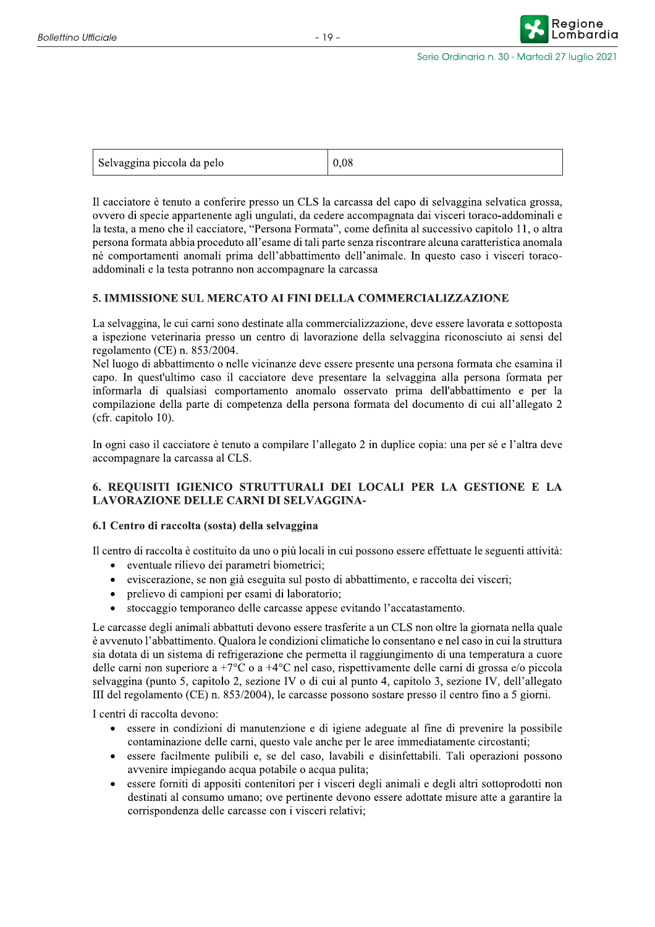Reaione

| Selvaggina piccola da pelo | $\sqrt{0.08}$ |
|----------------------------|---------------|
|----------------------------|---------------|

Il cacciatore è tenuto a conferire presso un CLS la carcassa del capo di selvaggina selvatica grossa, ovvero di specie appartenente agli ungulati, da cedere accompagnata dai visceri toraco-addominali e la testa, a meno che il cacciatore, "Persona Formata", come definita al successivo capitolo 11, o altra persona formata abbia proceduto all'esame di tali parte senza riscontrare alcuna caratteristica anomala né comportamenti anomali prima dell'abbattimento dell'animale. In questo caso i visceri toracoaddominali e la testa potranno non accompagnare la carcassa

#### 5. IMMISSIONE SUL MERCATO AI FINI DELLA COMMERCIALIZZAZIONE

La selvaggina, le cui carni sono destinate alla commercializzazione, deve essere lavorata e sottoposta a ispezione veterinaria presso un centro di lavorazione della selvaggina riconosciuto ai sensi del regolamento (CE) n. 853/2004.

Nel luogo di abbattimento o nelle vicinanze deve essere presente una persona formata che esamina il capo. In quest'ultimo caso il cacciatore deve presentare la selvaggina alla persona formata per informarla di qualsiasi comportamento anomalo osservato prima dell'abbattimento e per la compilazione della parte di competenza della persona formata del documento di cui all'allegato 2 (cfr. capitolo 10).

In ogni caso il cacciatore è tenuto a compilare l'allegato 2 in duplice copia: una per sé e l'altra deve accompagnare la carcassa al CLS.

### 6. REQUISITI IGIENICO STRUTTURALI DEI LOCALI PER LA GESTIONE E LA **LAVORAZIONE DELLE CARNI DI SELVAGGINA-**

#### 6.1 Centro di raccolta (sosta) della selvaggina

Il centro di raccolta è costituito da uno o più locali in cui possono essere effettuate le seguenti attività:

- eventuale rilievo dei parametri biometrici;  $\bullet$
- eviscerazione, se non già eseguita sul posto di abbattimento, e raccolta dei visceri;  $\bullet$
- prelievo di campioni per esami di laboratorio;
- stoccaggio temporaneo delle carcasse appese evitando l'accatastamento.

Le carcasse degli animali abbattuti devono essere trasferite a un CLS non oltre la giornata nella quale è avvenuto l'abbattimento. Qualora le condizioni climatiche lo consentano e nel caso in cui la struttura sia dotata di un sistema di refrigerazione che permetta il raggiungimento di una temperatura a cuore delle carni non superiore a +7 $^{\circ}$ C o a +4 $^{\circ}$ C nel caso, rispettivamente delle carni di grossa e/o piccola selvaggina (punto 5, capitolo 2, sezione IV o di cui al punto 4, capitolo 3, sezione IV, dell'allegato III del regolamento (CE) n. 853/2004), le carcasse possono sostare presso il centro fino a 5 giorni.

I centri di raccolta devono:

- essere in condizioni di manutenzione e di igiene adeguate al fine di prevenire la possibile contaminazione delle carni, questo vale anche per le aree immediatamente circostanti;
- essere facilmente pulibili e, se del caso, lavabili e disinfettabili. Tali operazioni possono avvenire impiegando acqua potabile o acqua pulita;
- essere forniti di appositi contenitori per i visceri degli animali e degli altri sottoprodotti non destinati al consumo umano; ove pertinente devono essere adottate misure atte a garantire la corrispondenza delle carcasse con i visceri relativi;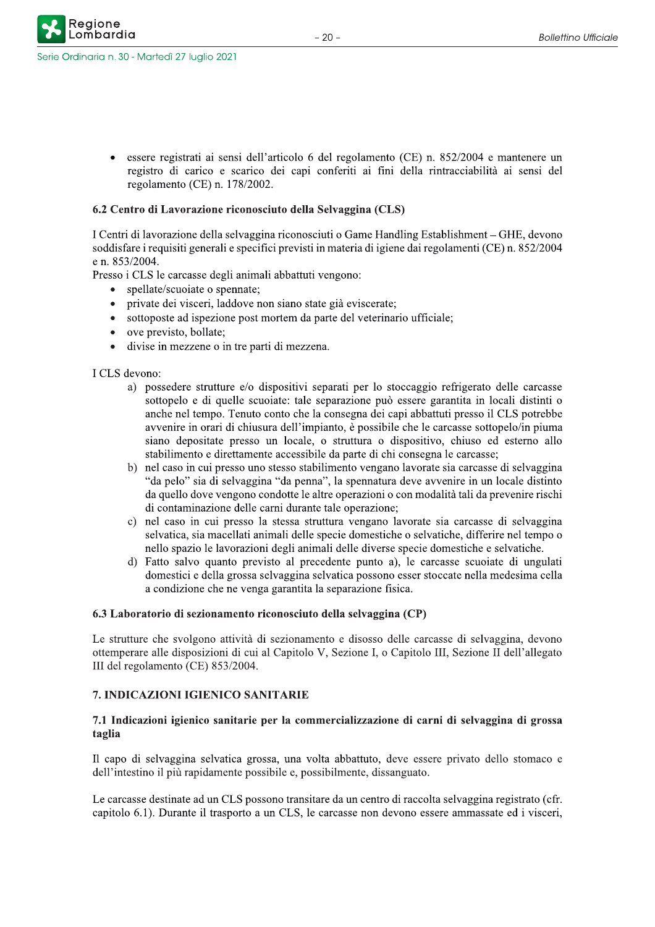Regione

essere registrati ai sensi dell'articolo 6 del regolamento (CE) n. 852/2004 e mantenere un registro di carico e scarico dei capi conferiti ai fini della rintracciabilità ai sensi del regolamento (CE) n.  $178/2002$ .

#### 6.2 Centro di Lavorazione riconosciuto della Selvaggina (CLS)

I Centri di lavorazione della selvaggina riconosciuti o Game Handling Establishment - GHE, devono soddisfare i requisiti generali e specifici previsti in materia di igiene dai regolamenti (CE) n. 852/2004 e n. 853/2004.

Presso i CLS le carcasse degli animali abbattuti vengono:

- spellate/scuoiate o spennate;
- private dei visceri, laddove non siano state già eviscerate;
- sottoposte ad ispezione post mortem da parte del veterinario ufficiale;
- ove previsto, bollate;
- divise in mezzene o in tre parti di mezzena.

 $ICLS$  devono:

- a) possedere strutture e/o dispositivi separati per lo stoccaggio refrigerato delle carcasse sottopelo e di quelle scuoiate: tale separazione può essere garantita in locali distinti o anche nel tempo. Tenuto conto che la consegna dei capi abbattuti presso il CLS potrebbe avvenire in orari di chiusura dell'impianto, è possibile che le carcasse sottopelo/in piuma siano depositate presso un locale, o struttura o dispositivo, chiuso ed esterno allo stabilimento e direttamente accessibile da parte di chi consegna le carcasse;
- b) nel caso in cui presso uno stesso stabilimento vengano lavorate sia carcasse di selvaggina "da pelo" sia di selvaggina "da penna", la spennatura deve avvenire in un locale distinto da quello dove vengono condotte le altre operazioni o con modalità tali da prevenire rischi di contaminazione delle carni durante tale operazione;
- c) nel caso in cui presso la stessa struttura vengano lavorate sia carcasse di selvaggina  $s$ elvatica, sia macellati animali delle specie domestiche o selvatiche, differire nel tempo o nello spazio le lavorazioni degli animali delle diverse specie domestiche e selvatiche.
- d) Fatto salvo quanto previsto al precedente punto a), le carcasse scuoiate di ungulati domestici e della grossa selvaggina selvatica possono esser stoccate nella medesima cella a condizione che ne venga garantita la separazione fisica.

#### 6.3 Laboratorio di sezionamento riconosciuto della selvaggina (CP)

Le strutture che svolgono attività di sezionamento e disosso delle carcasse di selvaggina, devono ottemperare alle disposizioni di cui al Capitolo V, Sezione I, o Capitolo III, Sezione II dell'allegato  ${III}$ del regolamento (CE) 853/2004.

#### 7. INDICAZIONI IGIENICO SANITARIE

#### 7.1 Indicazioni igienico sanitarie per la commercializzazione di carni di selvaggina di grossa taglia

Il capo di selvaggina selvatica grossa, una volta abbattuto, deve essere privato dello stomaco e dell'intestino il più rapidamente possibile e, possibilmente, dissanguato.

Le carcasse destinate ad un CLS possono transitare da un centro di raccolta selvaggina registrato (cfr. capitolo 6.1). Durante il trasporto a un CLS, le carcasse non devono essere ammassate ed i visceri,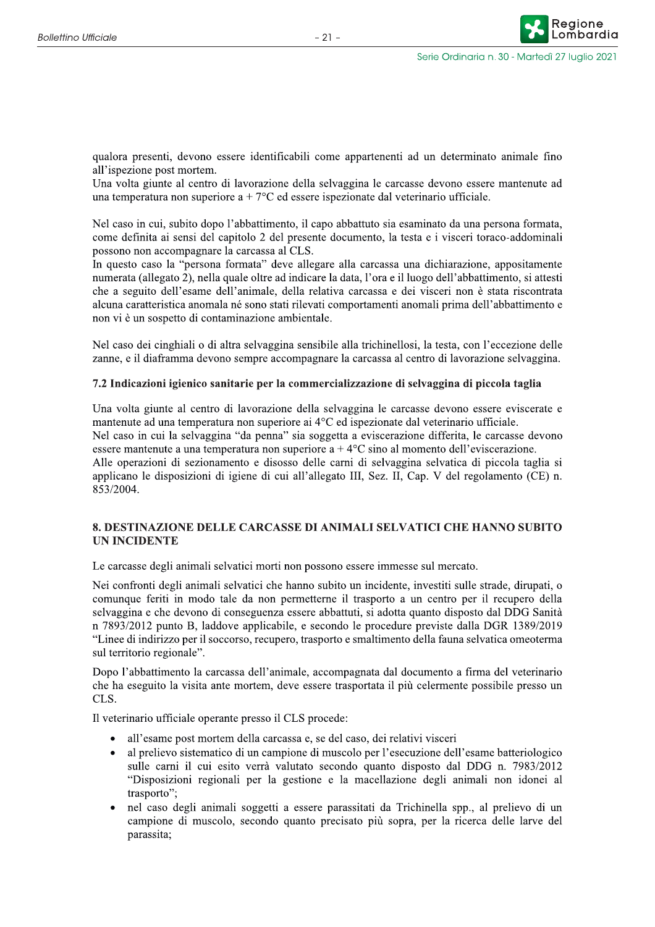qualora presenti, devono essere identificabili come appartenenti ad un determinato animale fino all'ispezione post mortem.

Una volta giunte al centro di lavorazione della selvaggina le carcasse devono essere mantenute ad una temperatura non superiore a +  $7^{\circ}$ C ed essere ispezionate dal veterinario ufficiale.

Nel caso in cui, subito dopo l'abbattimento, il capo abbattuto sia esaminato da una persona formata, come definita ai sensi del capitolo 2 del presente documento, la testa e i visceri toraco-addominali possono non accompagnare la carcassa al CLS.

In questo caso la "persona formata" deve allegare alla carcassa una dichiarazione, appositamente numerata (allegato 2), nella quale oltre ad indicare la data, l'ora e il luogo dell'abbattimento, si attesti che a seguito dell'esame dell'animale, della relativa carcassa e dei visceri non è stata riscontrata alcuna caratteristica anomala né sono stati rilevati comportamenti anomali prima dell'abbattimento e non vi è un sospetto di contaminazione ambientale.

Nel caso dei cinghiali o di altra selvaggina sensibile alla trichinellosi, la testa, con l'eccezione delle zanne, e il diaframma devono sempre accompagnare la carcassa al centro di lavorazione selvaggina.

#### 7.2 Indicazioni igienico sanitarie per la commercializzazione di selvaggina di piccola taglia

Una volta giunte al centro di lavorazione della selvaggina le carcasse devono essere eviscerate e mantenute ad una temperatura non superiore ai 4°C ed ispezionate dal veterinario ufficiale. Nel caso in cui la selvaggina "da penna" sia soggetta a eviscerazione differita, le carcasse devono essere mantenute a una temperatura non superiore a +  $4^{\circ}$ C sino al momento dell'eviscerazione. Alle operazioni di sezionamento e disosso delle carni di selvaggina selvatica di piccola taglia si applicano le disposizioni di igiene di cui all'allegato III, Sez. II, Cap. V del regolamento (CE) n. 853/2004.

#### 8. DESTINAZIONE DELLE CARCASSE DI ANIMALI SELVATICI CHE HANNO SUBITO **UN INCIDENTE**

Le carcasse degli animali selvatici morti non possono essere immesse sul mercato.

Nei confronti degli animali selvatici che hanno subito un incidente, investiti sulle strade, dirupati, o comunque feriti in modo tale da non permetterne il trasporto a un centro per il recupero della selvaggina e che devono di conseguenza essere abbattuti, si adotta quanto disposto dal DDG Sanità n 7893/2012 punto B, laddove applicabile, e secondo le procedure previste dalla DGR 1389/2019 "Linee di indirizzo per il soccorso, recupero, trasporto e smaltimento della fauna selvatica omeoterma sul territorio regionale".

Dopo l'abbattimento la carcassa dell'animale, accompagnata dal documento a firma del veterinario che ha eseguito la visita ante mortem, deve essere trasportata il più celermente possibile presso un CLS.

Il veterinario ufficiale operante presso il CLS procede:

- all'esame post mortem della carcassa e, se del caso, dei relativi visceri
- al prelievo sistematico di un campione di muscolo per l'esecuzione dell'esame batteriologico sulle carni il cui esito verrà valutato secondo quanto disposto dal DDG n. 7983/2012 "Disposizioni regionali per la gestione e la macellazione degli animali non idonei al trasporto":
- nel caso degli animali soggetti a essere parassitati da Trichinella spp., al prelievo di un campione di muscolo, secondo quanto precisato più sopra, per la ricerca delle larve del parassita: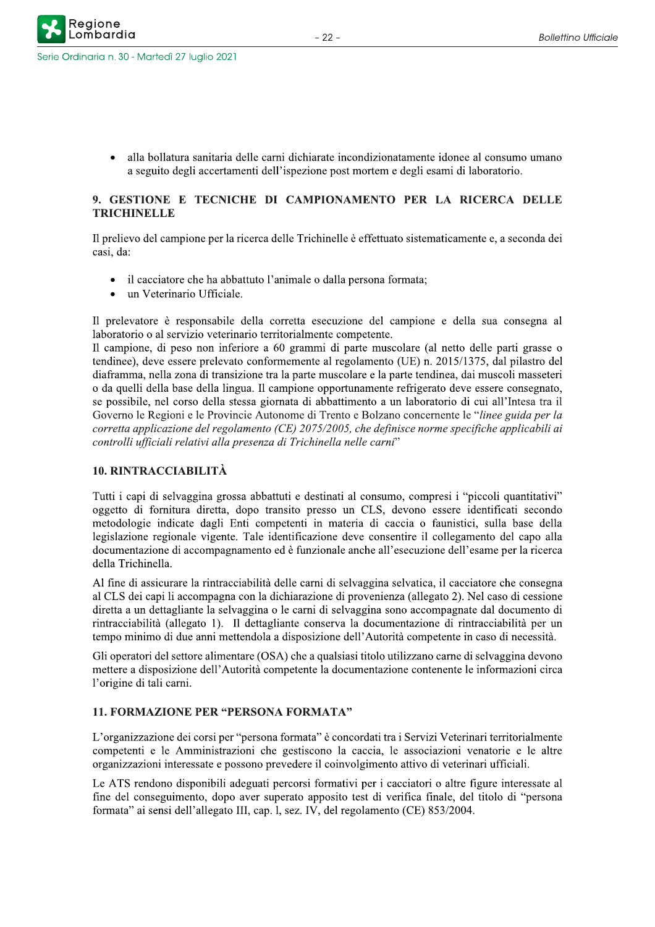alla bollatura sanitaria delle carni dichiarate incondizionatamente idonee al consumo umano a seguito degli accertamenti dell'ispezione post mortem e degli esami di laboratorio.

## 9. GESTIONE E TECNICHE DI CAMPIONAMENTO PER LA RICERCA DELLE **TRICHINELLE**

Il prelievo del campione per la ricerca delle Trichinelle è effettuato sistematicamente e, a seconda dei casi, da:

- il cacciatore che ha abbattuto l'animale o dalla persona formata;
- un Veterinario Ufficiale.

Il prelevatore è responsabile della corretta esecuzione del campione e della sua consegna al laboratorio o al servizio veterinario territorialmente competente.

Il campione, di peso non inferiore a 60 grammi di parte muscolare (al netto delle parti grasse o tendinee), deve essere prelevato conformemente al regolamento (UE) n. 2015/1375, dal pilastro del diaframma, nella zona di transizione tra la parte muscolare e la parte tendinea, dai muscoli masseteri o da quelli della base della lingua. Il campione opportunamente refrigerato deve essere consegnato, se possibile, nel corso della stessa giornata di abbattimento a un laboratorio di cui all'Intesa tra il Governo le Regioni e le Provincie Autonome di Trento e Bolzano concernente le "linee guida per la corretta applicazione del regolamento (CE) 2075/2005, che definisce norme specifiche applicabili ai controlli ufficiali relativi alla presenza di Trichinella nelle carni"

#### **10. RINTRACCIABILITÀ**

Tutti i capi di selvaggina grossa abbattuti e destinati al consumo, compresi i "piccoli quantitativi" oggetto di fornitura diretta, dopo transito presso un CLS, devono essere identificati secondo metodologie indicate dagli Enti competenti in materia di caccia o faunistici, sulla base della legislazione regionale vigente. Tale identificazione deve consentire il collegamento del capo alla documentazione di accompagnamento ed è funzionale anche all'esecuzione dell'esame per la ricerca della Trichinella.

Al fine di assicurare la rintracciabilità delle carni di selvaggina selvatica, il cacciatore che consegna al CLS dei capi li accompagna con la dichiarazione di provenienza (allegato 2). Nel caso di cessione diretta a un dettagliante la selvaggina o le carni di selvaggina sono accompagnate dal documento di rintracciabilità (allegato 1). Il dettagliante conserva la documentazione di rintracciabilità per un tempo minimo di due anni mettendola a disposizione dell'Autorità competente in caso di necessità.

Gli operatori del settore alimentare (OSA) che a qualsiasi titolo utilizzano carne di selvaggina devono mettere a disposizione dell'Autorità competente la documentazione contenente le informazioni circa l'origine di tali carni.

### **11. FORMAZIONE PER "PERSONA FORMATA"**

L'organizzazione dei corsi per "persona formata" è concordati tra i Servizi Veterinari territorialmente competenti e le Amministrazioni che gestiscono la caccia, le associazioni venatorie e le altre organizzazioni interessate e possono prevedere il coinvolgimento attivo di veterinari ufficiali.

Le ATS rendono disponibili adeguati percorsi formativi per i cacciatori o altre figure interessate al fine del conseguimento, dopo aver superato apposito test di verifica finale, del titolo di "persona" formata" ai sensi dell'allegato III, cap. l, sez. IV, del regolamento (CE) 853/2004.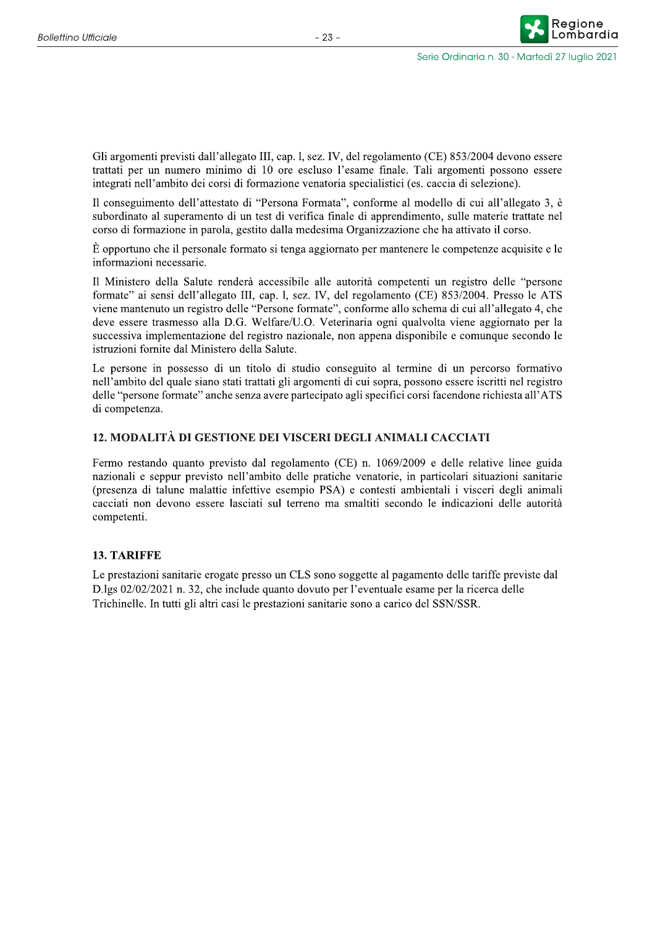Gli argomenti previsti dall'allegato III, cap. l, sez. IV, del regolamento (CE) 853/2004 devono essere trattati per un numero minimo di 10 ore escluso l'esame finale. Tali argomenti possono essere integrati nell'ambito dei corsi di formazione venatoria specialistici (es. caccia di selezione).

Il conseguimento dell'attestato di "Persona Formata", conforme al modello di cui all'allegato 3, è subordinato al superamento di un test di verifica finale di apprendimento, sulle materie trattate nel corso di formazione in parola, gestito dalla medesima Organizzazione che ha attivato il corso.

 $\dot{E}$  opportuno che il personale formato si tenga aggiornato per mantenere le competenze acquisite e le informazioni necessarie.

Il Ministero della Salute renderà accessibile alle autorità competenti un registro delle "persone" formate" ai sensi dell'allegato III, cap. l, sez. IV, del regolamento (CE) 853/2004. Presso le ATS viene mantenuto un registro delle "Persone formate", conforme allo schema di cui all'allegato 4, che deve essere trasmesso alla D.G. Welfare/U.O. Veterinaria ogni qualvolta viene aggiornato per la successiva implementazione del registro nazionale, non appena disponibile e comunque secondo le istruzioni fornite dal Ministero della Salute.

Le persone in possesso di un titolo di studio conseguito al termine di un percorso formativo nell'ambito del quale siano stati trattati gli argomenti di cui sopra, possono essere iscritti nel registro delle "persone formate" anche senza avere partecipato agli specifici corsi facendone richiesta all'ATS di competenza.

### 12. MODALITÀ DI GESTIONE DEI VISCERI DEGLI ANIMALI CACCIATI

Fermo restando quanto previsto dal regolamento (CE) n. 1069/2009 e delle relative linee guida nazionali e seppur previsto nell'ambito delle pratiche venatorie, in particolari situazioni sanitarie (presenza di talune malattie infettive esempio PSA) e contesti ambientali i visceri degli animali cacciati non devono essere lasciati sul terreno ma smaltiti secondo le indicazioni delle autorità competenti.

#### **13. TARIFFE**

Le prestazioni sanitarie erogate presso un CLS sono soggette al pagamento delle tariffe previste dal D.lgs 02/02/2021 n. 32, che include quanto dovuto per l'eventuale esame per la ricerca delle Trichinelle. In tutti gli altri casi le prestazioni sanitarie sono a carico del SSN/SSR.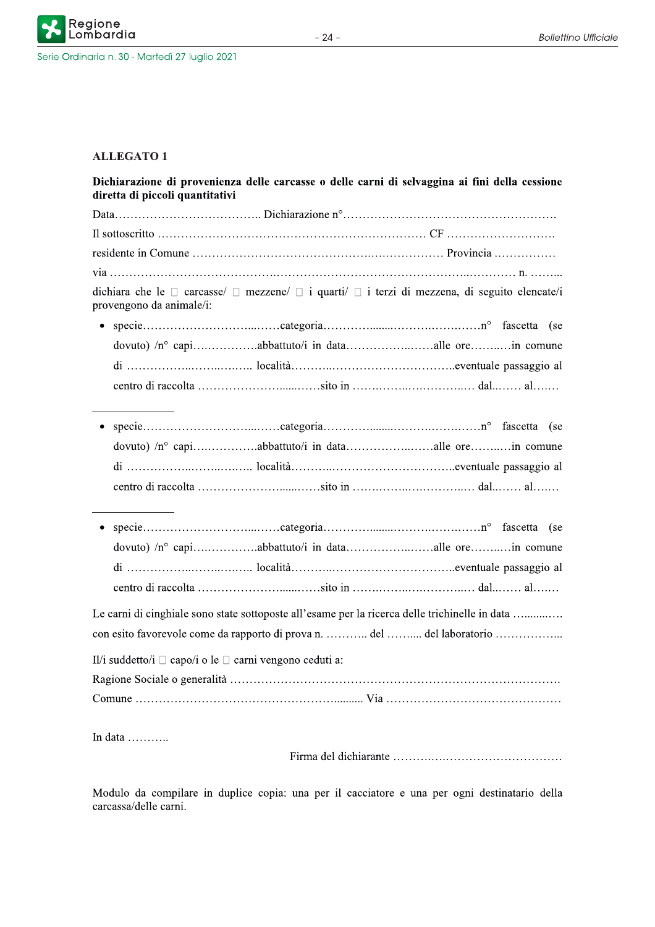

## **ALLEGATO1**

| Dichiarazione di provenienza delle carcasse o delle carni di selvaggina ai fini della cessione<br>diretta di piccoli quantitativi                                         |
|---------------------------------------------------------------------------------------------------------------------------------------------------------------------------|
|                                                                                                                                                                           |
|                                                                                                                                                                           |
|                                                                                                                                                                           |
|                                                                                                                                                                           |
| dichiara che le $\Box$ carcasse/ $\Box$ mezzene/ $\Box$ i quarti/ $\Box$ i terzi di mezzena, di seguito elencate/i<br>provengono da animale/i:                            |
|                                                                                                                                                                           |
| dovuto) /n° capiabbattuto/i in dataalle orein comune                                                                                                                      |
|                                                                                                                                                                           |
|                                                                                                                                                                           |
|                                                                                                                                                                           |
| dovuto) /n° capiabbattuto/i in dataalle orein comune                                                                                                                      |
|                                                                                                                                                                           |
|                                                                                                                                                                           |
|                                                                                                                                                                           |
|                                                                                                                                                                           |
|                                                                                                                                                                           |
|                                                                                                                                                                           |
| Le carni di cinghiale sono state sottoposte all'esame per la ricerca delle trichinelle in data<br>con esito favorevole come da rapporto di prova n.  del  del laboratorio |
|                                                                                                                                                                           |
|                                                                                                                                                                           |
|                                                                                                                                                                           |
|                                                                                                                                                                           |
| Il/i suddetto/i $\Box$ capo/i o le $\Box$ carni vengono ceduti a:                                                                                                         |

In data ...........

Modulo da compilare in duplice copia: una per il cacciatore e una per ogni destinatario della carcassa/delle carni.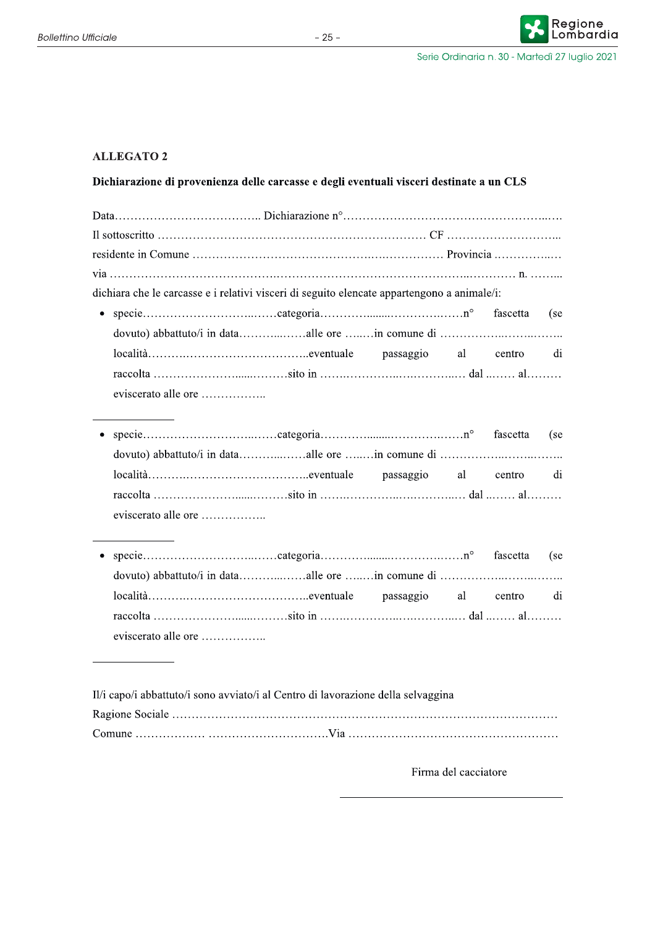## **ALLEGATO 2**

## Dichiarazione di provenienza delle carcasse e degli eventuali visceri destinate a un CLS

| dichiara che le carcasse e i relativi visceri di seguito elencate appartengono a animale/i: |  |  |
|---------------------------------------------------------------------------------------------|--|--|
|                                                                                             |  |  |
|                                                                                             |  |  |
|                                                                                             |  |  |
|                                                                                             |  |  |
|                                                                                             |  |  |

- fascetta (se  $\bullet$ dovuto) abbattuto/i in data...................alle ore ........in comune di .................................. passaggio al centro di eviscerato alle ore ..................
- fascetta (se dovuto) abbattuto/i in data....................alle ore ........in comune di ................................. passaggio al di centro eviscerato alle ore ..................

| Il/i capo/i abbattuto/i sono avviato/i al Centro di lavorazione della selvaggina |  |
|----------------------------------------------------------------------------------|--|
|                                                                                  |  |
|                                                                                  |  |

Firma del cacciatore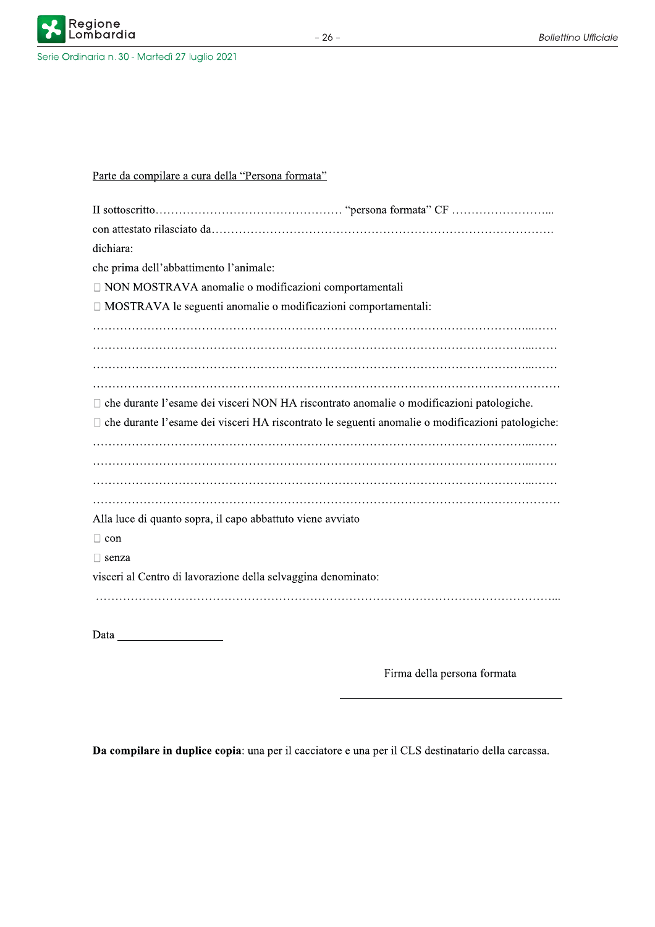

| dichiara:                                                                                          |  |
|----------------------------------------------------------------------------------------------------|--|
| che prima dell'abbattimento l'animale:                                                             |  |
| □ NON MOSTRAVA anomalie o modificazioni comportamentali                                            |  |
| □ MOSTRAVA le seguenti anomalie o modificazioni comportamentali:                                   |  |
|                                                                                                    |  |
|                                                                                                    |  |
|                                                                                                    |  |
|                                                                                                    |  |
| $\Box$ che durante l'esame dei visceri NON HA riscontrato anomalie o modificazioni patologiche.    |  |
| □ che durante l'esame dei visceri HA riscontrato le seguenti anomalie o modificazioni patologiche: |  |
|                                                                                                    |  |
|                                                                                                    |  |
|                                                                                                    |  |
|                                                                                                    |  |
| Alla luce di quanto sopra, il capo abbattuto viene avviato                                         |  |
| $\Box$ con                                                                                         |  |
| $\Box$ senza                                                                                       |  |
| visceri al Centro di lavorazione della selvaggina denominato:                                      |  |
|                                                                                                    |  |
|                                                                                                    |  |
| Data                                                                                               |  |

Firma della persona formata

Da compilare in duplice copia: una per il cacciatore e una per il CLS destinatario della carcassa.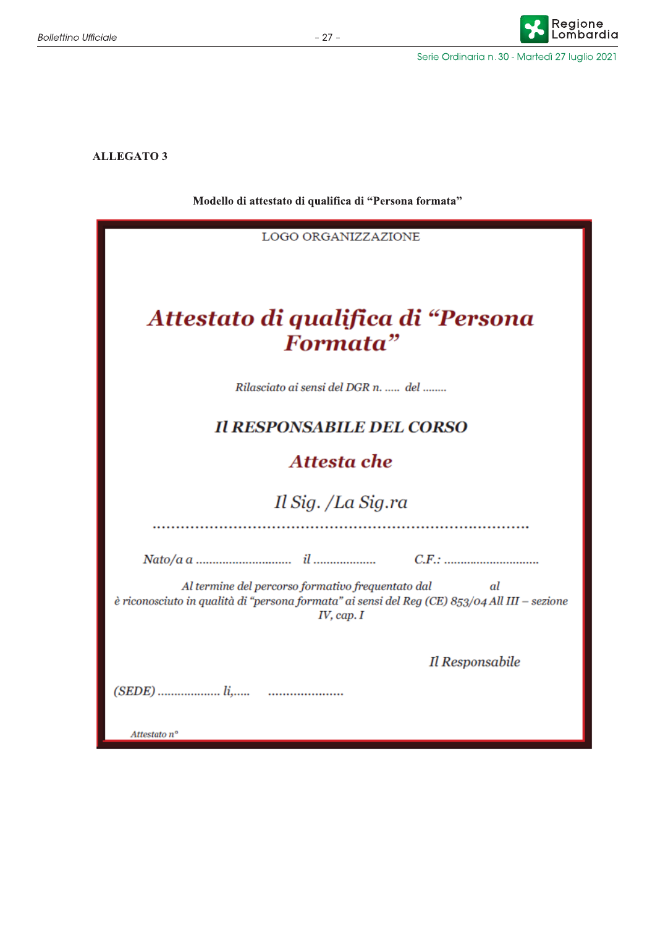**ALLEGATO 3** 

Modello di attestato di qualifica di "Persona formata"

| <b>LOGO ORGANIZZAZIONE</b>                                                                                       |  |  |
|------------------------------------------------------------------------------------------------------------------|--|--|
|                                                                                                                  |  |  |
|                                                                                                                  |  |  |
|                                                                                                                  |  |  |
| Attestato di qualifica di "Persona                                                                               |  |  |
| Formata"                                                                                                         |  |  |
|                                                                                                                  |  |  |
| Rilasciato ai sensi del DGR n.  del                                                                              |  |  |
| <b>Il RESPONSABILE DEL CORSO</b>                                                                                 |  |  |
| Attesta che                                                                                                      |  |  |
|                                                                                                                  |  |  |
| Il Sig. /La Sig.ra                                                                                               |  |  |
|                                                                                                                  |  |  |
|                                                                                                                  |  |  |
| Al termine del percorso formativo frequentato dal<br>al                                                          |  |  |
| è riconosciuto in qualità di "persona formata" ai sensi del Reg (CE) 853/04 All III - sezione<br>$IV$ , cap. $I$ |  |  |
|                                                                                                                  |  |  |
| Il Responsabile                                                                                                  |  |  |
|                                                                                                                  |  |  |
|                                                                                                                  |  |  |
| Attestato nº                                                                                                     |  |  |